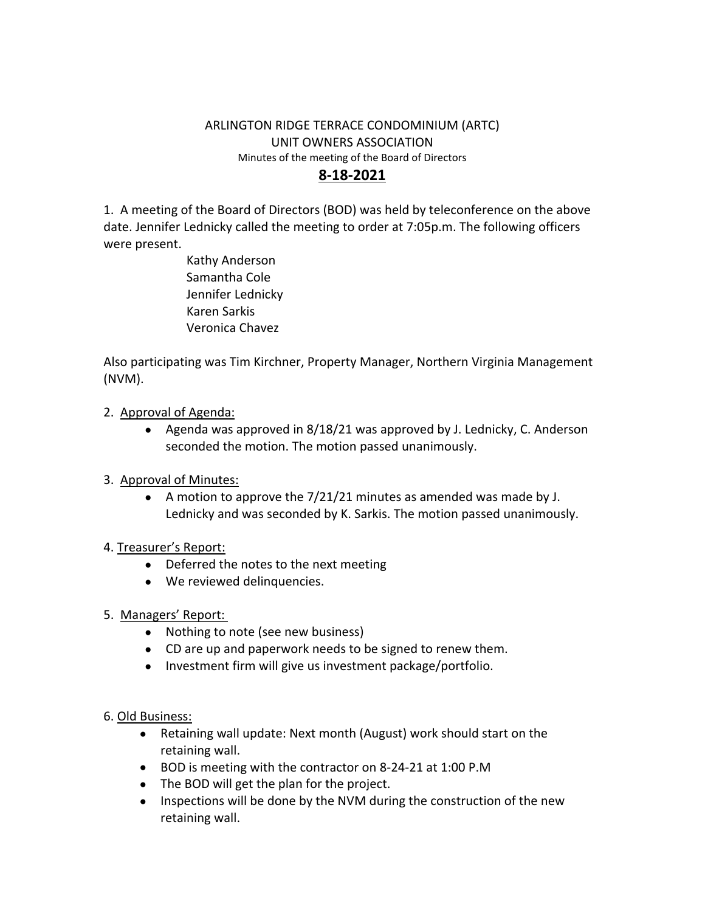### ARLINGTON RIDGE TERRACE CONDOMINIUM (ARTC) UNIT OWNERS ASSOCIATION Minutes of the meeting of the Board of Directors **8-18-2021**

1. A meeting of the Board of Directors (BOD) was held by teleconference on the above date. Jennifer Lednicky called the meeting to order at 7:05p.m. The following officers were present.

> Kathy Anderson Samantha Cole Jennifer Lednicky Karen Sarkis Veronica Chavez

Also participating was Tim Kirchner, Property Manager, Northern Virginia Management (NVM).

- 2. Approval of Agenda:
	- Agenda was approved in 8/18/21 was approved by J. Lednicky, C. Anderson seconded the motion. The motion passed unanimously.

# 3. Approval of Minutes:

 A motion to approve the 7/21/21 minutes as amended was made by J. Lednicky and was seconded by K. Sarkis. The motion passed unanimously.

#### 4. Treasurer's Report:

- Deferred the notes to the next meeting
- We reviewed delinquencies.
- 5. Managers' Report:
	- Nothing to note (see new business)
	- CD are up and paperwork needs to be signed to renew them.
	- Investment firm will give us investment package/portfolio.

#### 6. Old Business:

- Retaining wall update: Next month (August) work should start on the retaining wall.
- BOD is meeting with the contractor on 8-24-21 at 1:00 P.M
- The BOD will get the plan for the project.
- Inspections will be done by the NVM during the construction of the new retaining wall.